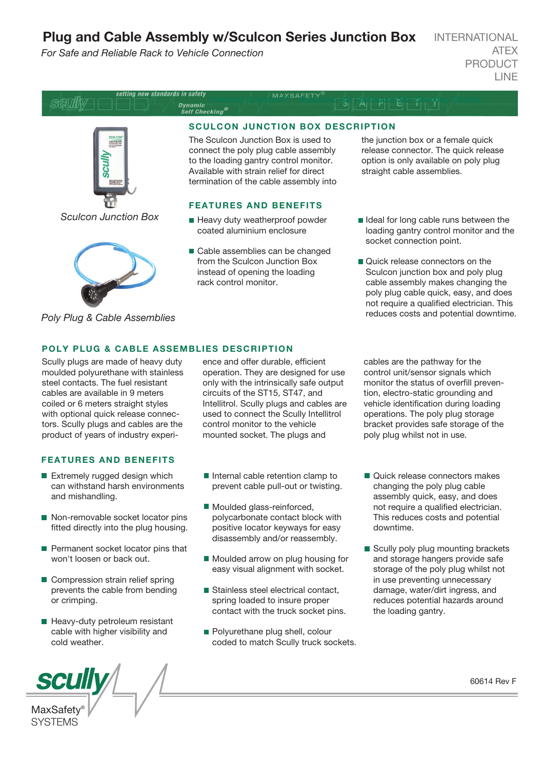# Plug and Cable Assembly w/Sculcon Series Junction Box

*For Safe and Reliable Rack to Vehicle Connection*

INTERNATIONAL ATEX PRODUCT LINE



*Poly Plug & Cable Assemblies*

# POLY PLUG & CABLE ASSEMBLIES DESCRIPTION

Scully plugs are made of heavy duty moulded polyurethane with stainless steel contacts. The fuel resistant cables are available in 9 meters coiled or 6 meters straight styles with optional quick release connectors. Scully plugs and cables are the product of years of industry experi-

### FEATURES AND BENEFITS

- Extremely rugged design which can withstand harsh environments and mishandling.
- Non-removable socket locator pins fitted directly into the plug housing.
- **Permanent socket locator pins that** won't loosen or back out.
- Compression strain relief spring prevents the cable from bending or crimping.
- Heavy-duty petroleum resistant cable with higher visibility and cold weather.



ence and offer durable, efficient operation. They are designed for use only with the intrinsically safe output circuits of the ST15, ST47, and Intellitrol. Scully plugs and cables are used to connect the Scully Intellitrol control monitor to the vehicle mounted socket. The plugs and

- Internal cable retention clamp to prevent cable pull-out or twisting.
- Moulded glass-reinforced, polycarbonate contact block with positive locator keyways for easy disassembly and/or reassembly.
- Moulded arrow on plug housing for easy visual alignment with socket.
- Stainless steel electrical contact, spring loaded to insure proper contact with the truck socket pins.
- **Polyurethane plug shell, colour** coded to match Scully truck sockets.

cables are the pathway for the control unit/sensor signals which monitor the status of overfill prevention, electro-static grounding and vehicle identification during loading operations. The poly plug storage bracket provides safe storage of the poly plug whilst not in use.

- Quick release connectors makes changing the poly plug cable assembly quick, easy, and does not require a qualified electrician. This reduces costs and potential downtime.
- Scully poly plug mounting brackets and storage hangers provide safe storage of the poly plug whilst not in use preventing unnecessary damage, water/dirt ingress, and reduces potential hazards around the loading gantry.